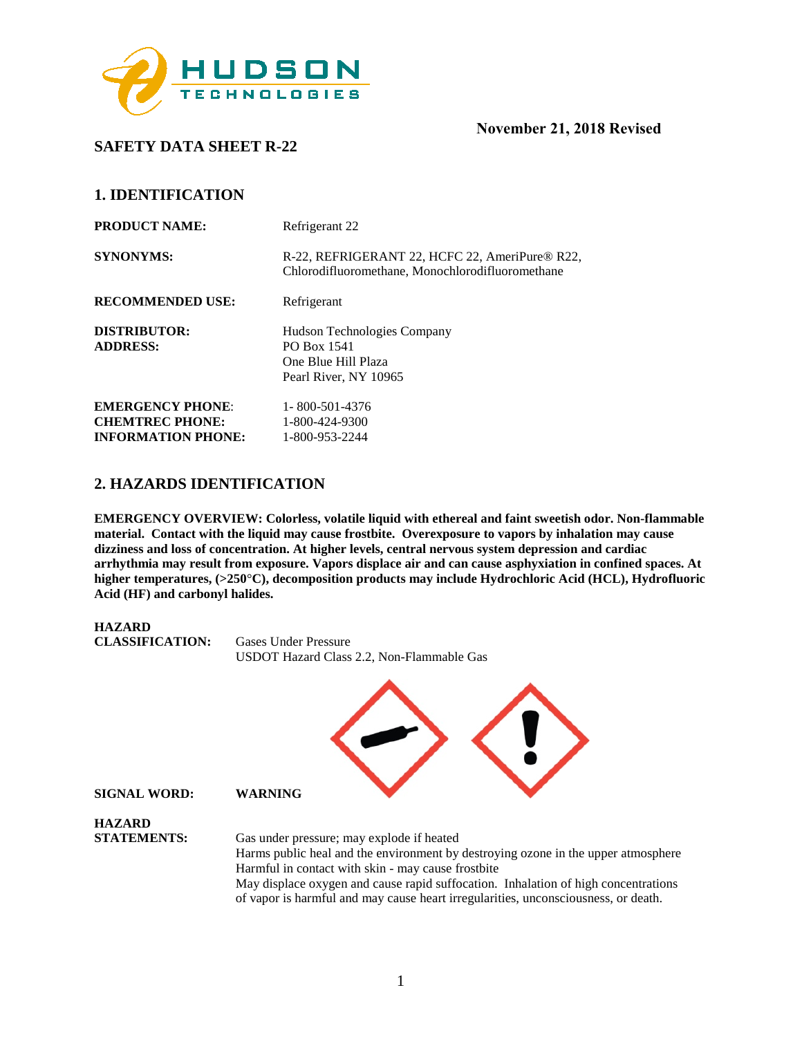

**SAFETY DATA SHEET R-22** 

## **1. IDENTIFICATION**

| <b>PRODUCT NAME:</b>                                                           | Refrigerant 22                                                                                     |
|--------------------------------------------------------------------------------|----------------------------------------------------------------------------------------------------|
| <b>SYNONYMS:</b>                                                               | R-22, REFRIGERANT 22, HCFC 22, AmeriPure® R22,<br>Chlorodifluoromethane, Monochlorodifluoromethane |
| <b>RECOMMENDED USE:</b>                                                        | Refrigerant                                                                                        |
| <b>DISTRIBUTOR:</b><br><b>ADDRESS:</b>                                         | Hudson Technologies Company<br>PO Box 1541<br>One Blue Hill Plaza<br>Pearl River, NY 10965         |
| <b>EMERGENCY PHONE:</b><br><b>CHEMTREC PHONE:</b><br><b>INFORMATION PHONE:</b> | 1-800-501-4376<br>1-800-424-9300<br>1-800-953-2244                                                 |

## **2. HAZARDS IDENTIFICATION**

**EMERGENCY OVERVIEW: Colorless, volatile liquid with ethereal and faint sweetish odor. Non-flammable material. Contact with the liquid may cause frostbite. Overexposure to vapors by inhalation may cause dizziness and loss of concentration. At higher levels, central nervous system depression and cardiac arrhythmia may result from exposure. Vapors displace air and can cause asphyxiation in confined spaces. At higher temperatures, (>250**°**C), decomposition products may include Hydrochloric Acid (HCL), Hydrofluoric Acid (HF) and carbonyl halides.** 

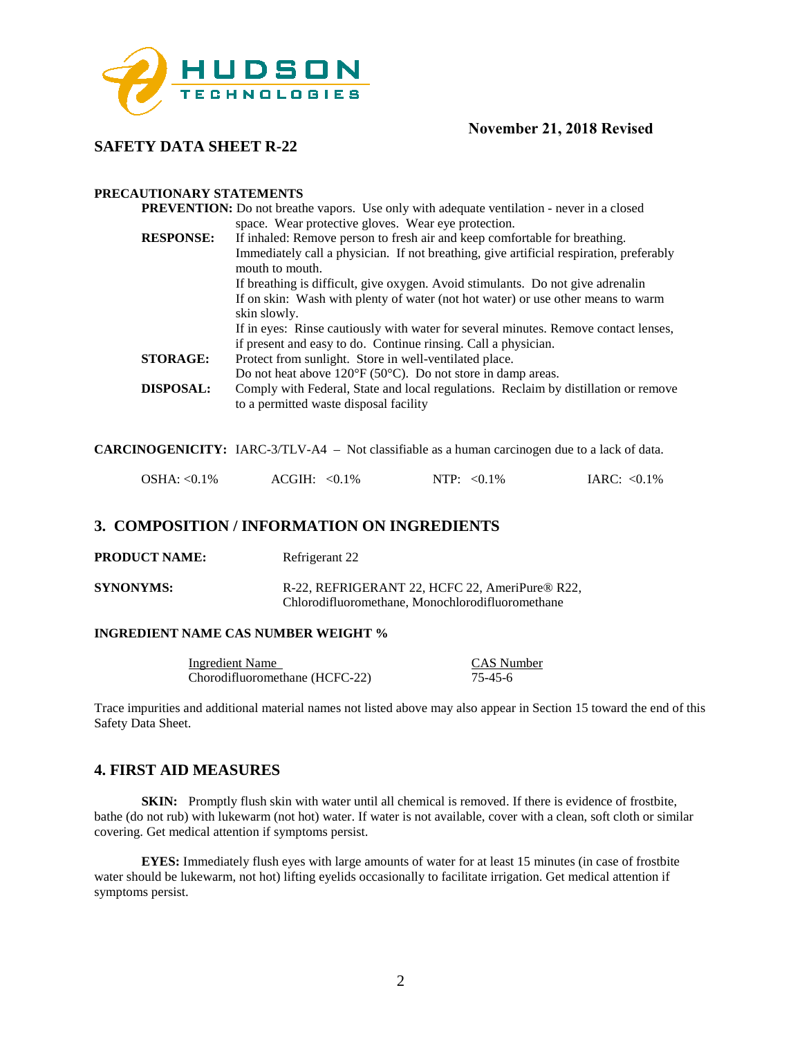

## **SAFETY DATA SHEET R-22**

#### **PRECAUTIONARY STATEMENTS**

|                  | <b>PREVENTION:</b> Do not breathe vapors. Use only with adequate ventilation - never in a closed |
|------------------|--------------------------------------------------------------------------------------------------|
|                  | space. Wear protective gloves. Wear eye protection.                                              |
| <b>RESPONSE:</b> | If inhaled: Remove person to fresh air and keep comfortable for breathing.                       |
|                  | Immediately call a physician. If not breathing, give artificial respiration, preferably          |
|                  | mouth to mouth.                                                                                  |
|                  | If breathing is difficult, give oxygen. Avoid stimulants. Do not give adrenalin                  |
|                  | If on skin: Wash with plenty of water (not hot water) or use other means to warm                 |
|                  | skin slowly.                                                                                     |
|                  | If in eyes: Rinse cautiously with water for several minutes. Remove contact lenses,              |
|                  | if present and easy to do. Continue rinsing. Call a physician.                                   |
| <b>STORAGE:</b>  | Protect from sunlight. Store in well-ventilated place.                                           |
|                  | Do not heat above $120^{\circ}F (50^{\circ}C)$ . Do not store in damp areas.                     |
| <b>DISPOSAL:</b> | Comply with Federal, State and local regulations. Reclaim by distillation or remove              |
|                  | to a permitted waste disposal facility                                                           |
|                  |                                                                                                  |

**CARCINOGENICITY:** IARC-3/TLV-A4 – Not classifiable as a human carcinogen due to a lack of data.

|  | $OSHA: < 0.1\%$ | $ACGIH: <0.1\%$ | NTP: $< 0.1\%$ | IARC: $< 0.1\%$ |
|--|-----------------|-----------------|----------------|-----------------|
|--|-----------------|-----------------|----------------|-----------------|

## **3. COMPOSITION / INFORMATION ON INGREDIENTS**

**PRODUCT NAME:** Refrigerant 22

**SYNONYMS:** R-22, REFRIGERANT 22, HCFC 22, AmeriPure® R22, Chlorodifluoromethane, Monochlorodifluoromethane

#### **INGREDIENT NAME CAS NUMBER WEIGHT %**

| Ingredient Name                | CAS Number |
|--------------------------------|------------|
| Chorodifluoromethane (HCFC-22) | 75-45-6    |

Trace impurities and additional material names not listed above may also appear in Section 15 toward the end of this Safety Data Sheet.

## **4. FIRST AID MEASURES**

**SKIN:** Promptly flush skin with water until all chemical is removed. If there is evidence of frostbite, bathe (do not rub) with lukewarm (not hot) water. If water is not available, cover with a clean, soft cloth or similar covering. Get medical attention if symptoms persist.

**EYES:** Immediately flush eyes with large amounts of water for at least 15 minutes (in case of frostbite water should be lukewarm, not hot) lifting eyelids occasionally to facilitate irrigation. Get medical attention if symptoms persist.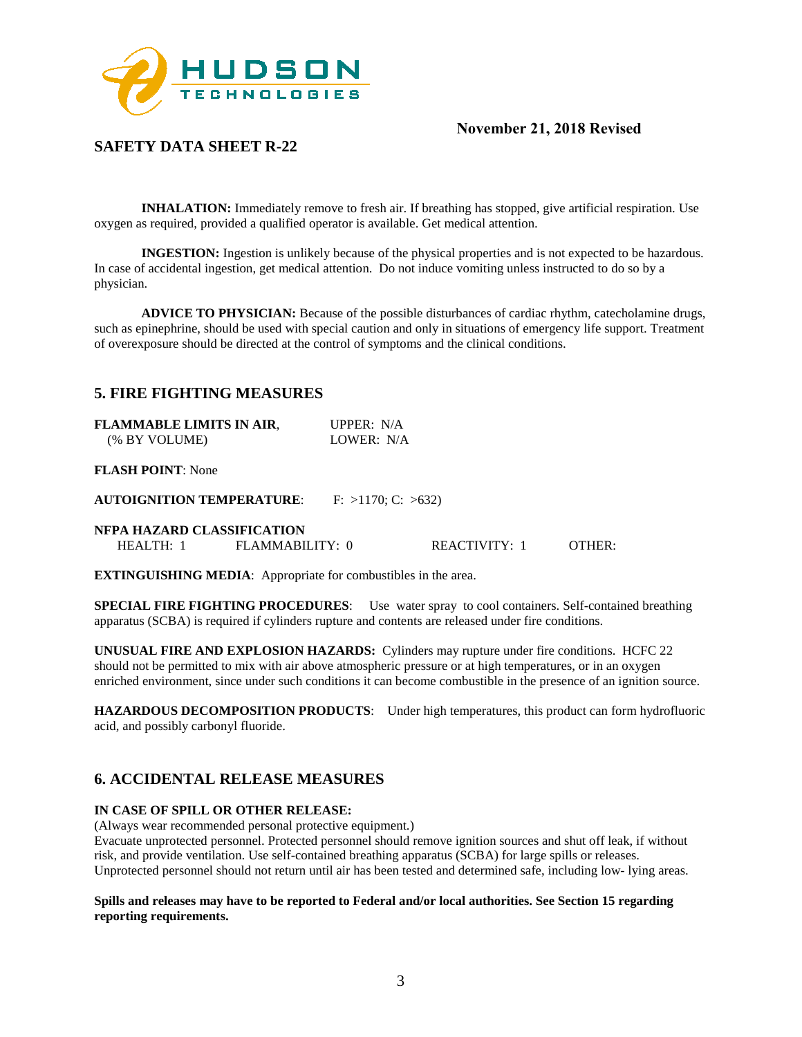

# **SAFETY DATA SHEET R-22**

**INHALATION:** Immediately remove to fresh air. If breathing has stopped, give artificial respiration. Use oxygen as required, provided a qualified operator is available. Get medical attention.

**INGESTION:** Ingestion is unlikely because of the physical properties and is not expected to be hazardous. In case of accidental ingestion, get medical attention. Do not induce vomiting unless instructed to do so by a physician.

**ADVICE TO PHYSICIAN:** Because of the possible disturbances of cardiac rhythm, catecholamine drugs, such as epinephrine, should be used with special caution and only in situations of emergency life support. Treatment of overexposure should be directed at the control of symptoms and the clinical conditions.

## **5. FIRE FIGHTING MEASURES**

| <b>FLAMMABLE LIMITS IN AIR,</b> | UPPER: $N/A$ |
|---------------------------------|--------------|
| (% BY VOLUME)                   | LOWER: N/A   |

#### **FLASH POINT**: None

**AUTOIGNITION TEMPERATURE**: F: >1170; C: >632)

#### **NFPA HAZARD CLASSIFICATION**

| FLAMMABILITY: 0<br><b>REACTIVITY:</b><br><b>HEALTH:</b><br>OTHER.<br>the contract of the contract of the contract of the contract of the contract of the contract of the contract of |
|--------------------------------------------------------------------------------------------------------------------------------------------------------------------------------------|
|--------------------------------------------------------------------------------------------------------------------------------------------------------------------------------------|

**EXTINGUISHING MEDIA**: Appropriate for combustibles in the area.

**SPECIAL FIRE FIGHTING PROCEDURES**: Use water spray to cool containers. Self-contained breathing apparatus (SCBA) is required if cylinders rupture and contents are released under fire conditions.

**UNUSUAL FIRE AND EXPLOSION HAZARDS:** Cylinders may rupture under fire conditions. HCFC 22 should not be permitted to mix with air above atmospheric pressure or at high temperatures, or in an oxygen enriched environment, since under such conditions it can become combustible in the presence of an ignition source.

**HAZARDOUS DECOMPOSITION PRODUCTS**: Under high temperatures, this product can form hydrofluoric acid, and possibly carbonyl fluoride.

## **6. ACCIDENTAL RELEASE MEASURES**

#### **IN CASE OF SPILL OR OTHER RELEASE:**

(Always wear recommended personal protective equipment.)

Evacuate unprotected personnel. Protected personnel should remove ignition sources and shut off leak, if without risk, and provide ventilation. Use self-contained breathing apparatus (SCBA) for large spills or releases. Unprotected personnel should not return until air has been tested and determined safe, including low- lying areas.

#### **Spills and releases may have to be reported to Federal and/or local authorities. See Section 15 regarding reporting requirements.**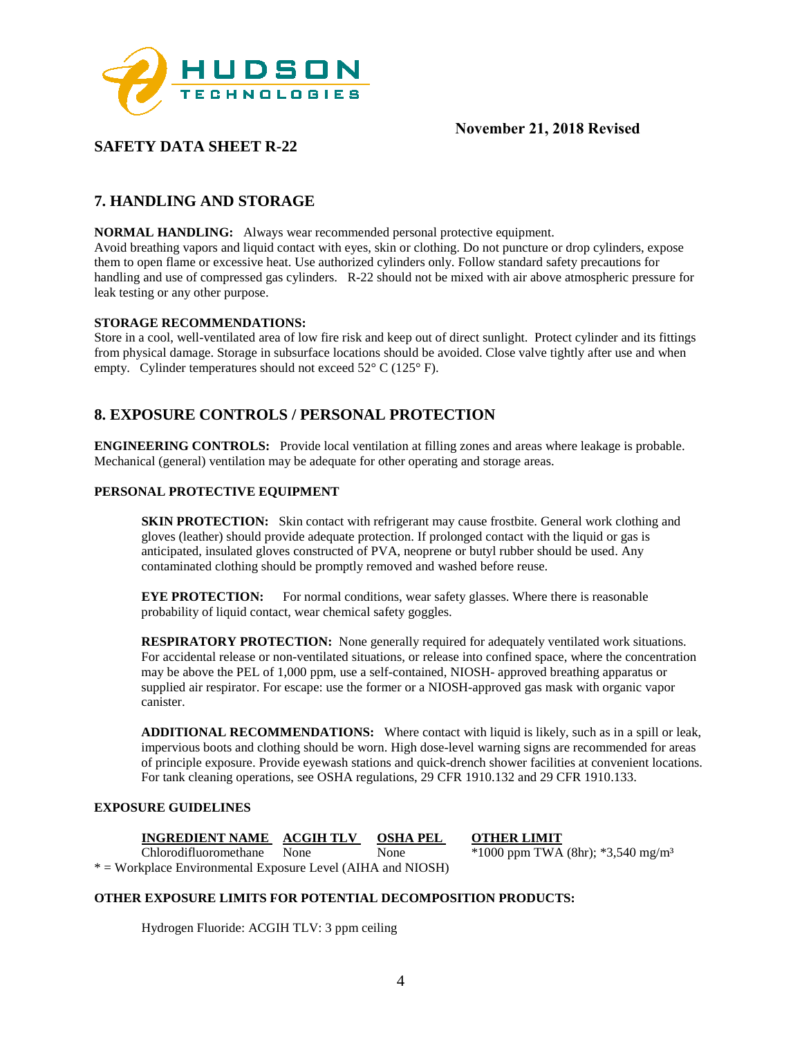

# **SAFETY DATA SHEET R-22**

# **7. HANDLING AND STORAGE**

**NORMAL HANDLING:** Always wear recommended personal protective equipment.

Avoid breathing vapors and liquid contact with eyes, skin or clothing. Do not puncture or drop cylinders, expose them to open flame or excessive heat. Use authorized cylinders only. Follow standard safety precautions for handling and use of compressed gas cylinders. R-22 should not be mixed with air above atmospheric pressure for leak testing or any other purpose.

#### **STORAGE RECOMMENDATIONS:**

Store in a cool, well-ventilated area of low fire risk and keep out of direct sunlight. Protect cylinder and its fittings from physical damage. Storage in subsurface locations should be avoided. Close valve tightly after use and when empty. Cylinder temperatures should not exceed 52° C (125° F).

## **8. EXPOSURE CONTROLS / PERSONAL PROTECTION**

**ENGINEERING CONTROLS:** Provide local ventilation at filling zones and areas where leakage is probable. Mechanical (general) ventilation may be adequate for other operating and storage areas.

#### **PERSONAL PROTECTIVE EQUIPMENT**

**SKIN PROTECTION:** Skin contact with refrigerant may cause frostbite. General work clothing and gloves (leather) should provide adequate protection. If prolonged contact with the liquid or gas is anticipated, insulated gloves constructed of PVA, neoprene or butyl rubber should be used. Any contaminated clothing should be promptly removed and washed before reuse.

**EYE PROTECTION:** For normal conditions, wear safety glasses. Where there is reasonable probability of liquid contact, wear chemical safety goggles.

**RESPIRATORY PROTECTION:** None generally required for adequately ventilated work situations. For accidental release or non-ventilated situations, or release into confined space, where the concentration may be above the PEL of 1,000 ppm, use a self-contained, NIOSH- approved breathing apparatus or supplied air respirator. For escape: use the former or a NIOSH-approved gas mask with organic vapor canister.

**ADDITIONAL RECOMMENDATIONS:** Where contact with liquid is likely, such as in a spill or leak, impervious boots and clothing should be worn. High dose-level warning signs are recommended for areas of principle exposure. Provide eyewash stations and quick-drench shower facilities at convenient locations. For tank cleaning operations, see OSHA regulations, 29 CFR 1910.132 and 29 CFR 1910.133.

#### **EXPOSURE GUIDELINES**

**INGREDIENT NAME ACGIH TLV OSHA PEL OTHER LIMIT** Chlorodifluoromethane None None  $\frac{1}{1000}$  ppm TWA Chlorodifluoromethane None None \*1000 ppm TWA (8hr); \*3,540 mg/m<sup>3</sup>

\* = Workplace Environmental Exposure Level (AIHA and NIOSH)

#### **OTHER EXPOSURE LIMITS FOR POTENTIAL DECOMPOSITION PRODUCTS:**

Hydrogen Fluoride: ACGIH TLV: 3 ppm ceiling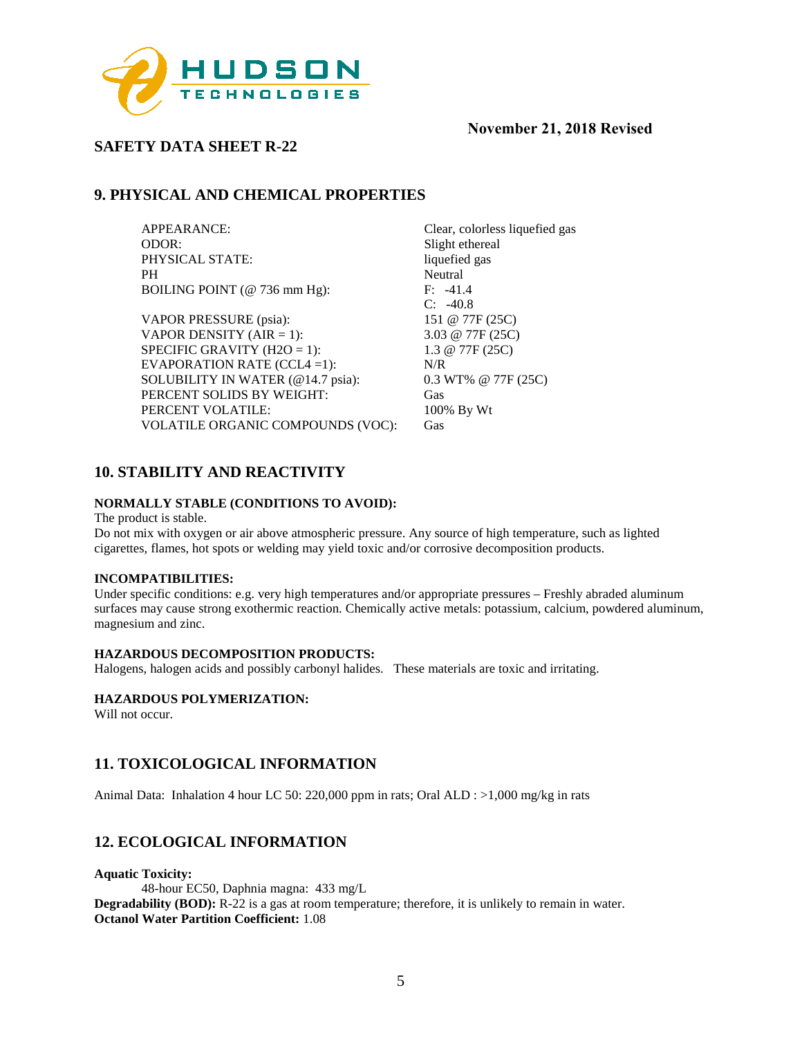

# **SAFETY DATA SHEET R-22**

# **9. PHYSICAL AND CHEMICAL PROPERTIES**

APPEARANCE:<br>
Clear, colorless liquefied gas<br>
Slight ethereal<br>
Slight ethereal PHYSICAL STATE: PH Neutral<br>BOILING POINT (@ 736 mm Hg): F: -41.4 BOILING POINT ( $@$  736 mm Hg):

VAPOR PRESSURE (psia): 151 @ 77F (25C) VAPOR DENSITY (AIR = 1):  $3.03 \text{ @ } 77F (25C)$ SPECIFIC GRAVITY (H2O = 1):  $1.3 @ 77F (25C)$ EVAPORATION RATE (CCL4 =1): N/R SOLUBILITY IN WATER (@14.7 psia): 0.3 WT% @ 77F (25C) PERCENT SOLIDS BY WEIGHT: Gas PERCENT VOLATILE: 100% By Wt VOLATILE ORGANIC COMPOUNDS (VOC): Gas

Slight ethereal<br>liquefied gas C: -40.8

# **10. STABILITY AND REACTIVITY**

#### **NORMALLY STABLE (CONDITIONS TO AVOID):**

The product is stable.

Do not mix with oxygen or air above atmospheric pressure. Any source of high temperature, such as lighted cigarettes, flames, hot spots or welding may yield toxic and/or corrosive decomposition products.

#### **INCOMPATIBILITIES:**

Under specific conditions: e.g. very high temperatures and/or appropriate pressures – Freshly abraded aluminum surfaces may cause strong exothermic reaction. Chemically active metals: potassium, calcium, powdered aluminum, magnesium and zinc.

#### **HAZARDOUS DECOMPOSITION PRODUCTS:**

Halogens, halogen acids and possibly carbonyl halides. These materials are toxic and irritating.

#### **HAZARDOUS POLYMERIZATION:**

Will not occur.

## **11. TOXICOLOGICAL INFORMATION**

Animal Data: Inhalation 4 hour LC 50: 220,000 ppm in rats; Oral ALD : >1,000 mg/kg in rats

# **12. ECOLOGICAL INFORMATION**

**Aquatic Toxicity:**

48-hour EC50, Daphnia magna: 433 mg/L **Degradability (BOD):** R-22 is a gas at room temperature; therefore, it is unlikely to remain in water. **Octanol Water Partition Coefficient:** 1.08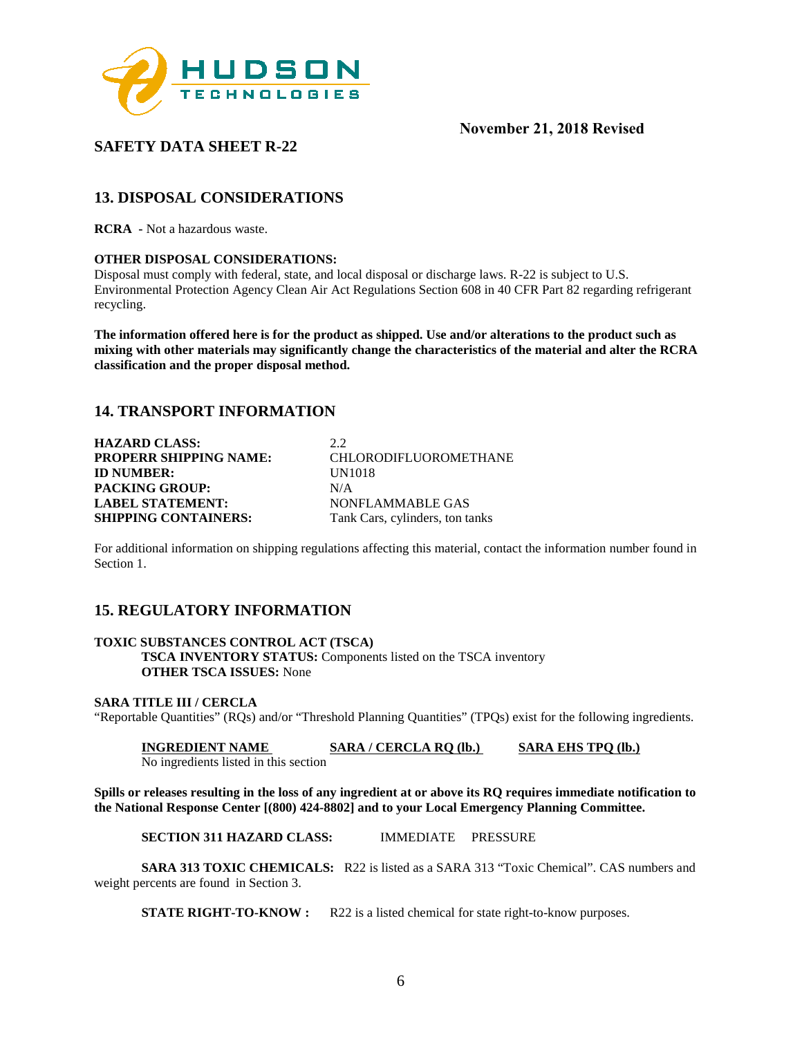

# **SAFETY DATA SHEET R-22**

# **13. DISPOSAL CONSIDERATIONS**

**RCRA -** Not a hazardous waste.

#### **OTHER DISPOSAL CONSIDERATIONS:**

Disposal must comply with federal, state, and local disposal or discharge laws. R-22 is subject to U.S. Environmental Protection Agency Clean Air Act Regulations Section 608 in 40 CFR Part 82 regarding refrigerant recycling.

**The information offered here is for the product as shipped. Use and/or alterations to the product such as mixing with other materials may significantly change the characteristics of the material and alter the RCRA classification and the proper disposal method.** 

## **14. TRANSPORT INFORMATION**

**HAZARD CLASS:** 2.2 **PROPERR SHIPPING NAME:** CHLORODIFLUOROMETHANE **ID NUMBER:** UN1018 **PACKING GROUP:** N/A **LABEL STATEMENT:** NONFLAMMABLE GAS<br> **SHIPPING CONTAINERS:** Tank Cars, cylinders, ton ta Tank Cars, cylinders, ton tanks

For additional information on shipping regulations affecting this material, contact the information number found in Section 1.

## **15. REGULATORY INFORMATION**

#### **TOXIC SUBSTANCES CONTROL ACT (TSCA)**

**TSCA INVENTORY STATUS:** Components listed on the TSCA inventory **OTHER TSCA ISSUES:** None

#### **SARA TITLE III / CERCLA**

"Reportable Quantities" (RQs) and/or "Threshold Planning Quantities" (TPQs) exist for the following ingredients.

**INGREDIENT NAME SARA / CERCLA RQ (lb.) SARA EHS TPQ (lb.)** 

No ingredients listed in this section

**Spills or releases resulting in the loss of any ingredient at or above its RQ requires immediate notification to the National Response Center [(800) 424-8802] and to your Local Emergency Planning Committee.** 

**SECTION 311 HAZARD CLASS:** IMMEDIATE PRESSURE

**SARA 313 TOXIC CHEMICALS:** R22 is listed as a SARA 313 "Toxic Chemical". CAS numbers and weight percents are found in Section 3.

**STATE RIGHT-TO-KNOW :** R22 is a listed chemical for state right-to-know purposes.